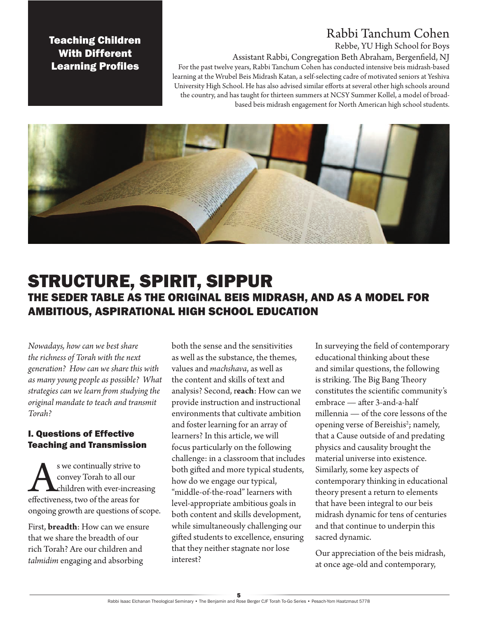# Rabbi Tanchum Cohen

### Rebbe, YU High School for Boys

Assistant Rabbi, Congregation Beth Abraham, Bergenfield, NJ For the past twelve years, Rabbi Tanchum Cohen has conducted intensive beis midrash-based learning at the Wrubel Beis Midrash Katan, a self-selecting cadre of motivated seniors at Yeshiva University High School. He has also advised similar efforts at several other high schools around the country, and has taught for thirteen summers at NCSY Summer Kollel, a model of broadbased beis midrash engagement for North American high school students.

Teaching Children With Different Learning Profiles



# STRUCTURE, SPIRIT, SIPPUR THE SEDER TABLE AS THE ORIGINAL BEIS MIDRASH, AND AS A MODEL FOR AMBITIOUS, ASPIRATIONAL HIGH SCHOOL EDUCATION

*Nowadays, how can we best share the richness of Torah with the next generation? How can we share this with as many young people as possible? What strategies can we learn from studying the original mandate to teach and transmit Torah?*

## I. Questions of Effective Teaching and Transmission

S we continually strive to<br>
convey Torah to all our<br>
children with ever-increas<br>
effectiveness, two of the areas for convey Torah to all our children with ever-increasing ongoing growth are questions of scope.

First, **breadth**: How can we ensure that we share the breadth of our rich Torah? Are our children and *talmidim* engaging and absorbing

both the sense and the sensitivities as well as the substance, the themes, values and *machshava*, as well as the content and skills of text and analysis? Second, r**each**: How can we provide instruction and instructional environments that cultivate ambition and foster learning for an array of learners? In this article, we will focus particularly on the following challenge: in a classroom that includes both gifted and more typical students, how do we engage our typical, "middle-of-the-road" learners with level-appropriate ambitious goals in both content and skills development, while simultaneously challenging our gifted students to excellence, ensuring that they neither stagnate nor lose interest?

In surveying the field of contemporary educational thinking about these and similar questions, the following is striking. The Big Bang Theory constitutes the scientific community's embrace — after 3-and-a-half millennia — of the core lessons of the opening verse of Bereishis<sup>2</sup>; namely, that a Cause outside of and predating physics and causality brought the material universe into existence. Similarly, some key aspects of contemporary thinking in educational theory present a return to elements that have been integral to our beis midrash dynamic for tens of centuries and that continue to underpin this sacred dynamic.

Our appreciation of the beis midrash, at once age-old and contemporary,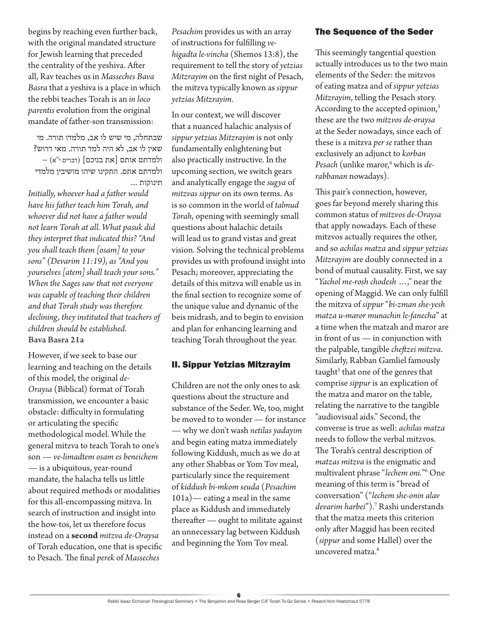begins by reaching even further back, with the original mandated structure for Jewish learning that preceded the centrality of the yeshiva. After all, Rav teaches us in *Masseches Bava Basra* that a yeshiva is a place in which the rebbi teaches Torah is an *in loco parentis* evolution from the original mandate of father-son transmission:

שבתחלה, מי שיש לו אב, מלמדו תורה. מי שאין לו אב, לא היה למד תורה. מאי דרוש? ולמדתם אותם ]את בניכם[ )דברים י"א( – ולמדתם אתם. התקינו שיהו מושיבין מלמדי תינוקות ...

*Initially, whoever had a father would have his father teach him Torah, and whoever did not have a father would not learn Torah at all. What pasuk did they interpret that indicated this? "And you shall teach them [osam] to your sons" (Devarim 11:19), as "And you yourselves [atem] shall teach your sons." When the Sages saw that not everyone was capable of teaching their children and that Torah study was therefore declining, they instituted that teachers of children should be established.* **Bava Basra 21a**

However, if we seek to base our learning and teaching on the details of this model, the original *de-Oraysa* (Biblical) format of Torah transmission, we encounter a basic obstacle: difficulty in formulating or articulating the specific methodological model. While the general mitzva to teach Torah to one's son — *ve-limadtem osam es beneichem* — is a ubiquitous, year-round mandate, the halacha tells us little about required methods or modalities for this all-encompassing mitzva. In search of instruction and insight into the how-tos, let us therefore focus instead on a **second** *mitzva de-Oraysa*  of Torah education, one that is specific to Pesach. The final *perek* of *Masseches* 

*Pesachim* provides us with an array of instructions for fulfilling *vehigadta le-vincha* (Shemos 13:8), the requirement to tell the story of *yetzias Mitzrayim* on the first night of Pesach, the mitzva typically known as *sippur yetzias Mitzrayim*.

In our context, we will discover that a nuanced halachic analysis of *sippur yetzias Mitzrayim* is not only fundamentally enlightening but also practically instructive. In the upcoming section, we switch gears and analytically engage the *sugya* of *mitzvas sippur* on its own terms. As is so common in the world of *talmud Torah*, opening with seemingly small questions about halachic details will lead us to grand vistas and great vision. Solving the technical problems provides us with profound insight into Pesach; moreover, appreciating the details of this mitzva will enable us in the final section to recognize some of the unique value and dynamic of the beis midrash, and to begin to envision and plan for enhancing learning and teaching Torah throughout the year.

#### II. Sippur Yetzias Mitzrayim

Children are not the only ones to ask questions about the structure and substance of the Seder. We, too, might be moved to to wonder — for instance — why we don't wash *netilas yadayim* and begin eating matza immediately following Kiddush, much as we do at any other Shabbas or Yom Tov meal, particularly since the requirement of *kiddush bi-mkom seuda* (*Pesachim* 101a)— eating a meal in the same place as Kiddush and immediately thereafter — ought to militate against an unnecessary lag between Kiddush and beginning the Yom Tov meal.

#### The Sequence of the Seder

This seemingly tangential question actually introduces us to the two main elements of the Seder: the mitzvos of eating matza and of *sippur yetzias Mitzrayim*, telling the Pesach story. According to the accepted opinion,<sup>3</sup> these are the two *mitzvos de-oraysa* at the Seder nowadays, since each of these is a mitzva *per se* rather than exclusively an adjunct to *korban Pesach* (unlike maror,4 which is *derabbanan* nowadays).

This pair's connection, however, goes far beyond merely sharing this common status of *mitzvos de-Oraysa*  that apply nowadays. Each of these mitzvos actually requires the other, and so *achilas matza* and *sippur yetzias Mitzrayim* are doubly connected in a bond of mutual causality. First, we say "*Yachol me-rosh chodesh* …," near the opening of Maggid. We can only fulfill the mitzva of *sippur* "*bi-zman she-yesh matza u-maror munachin le-fanecha*" at a time when the matzah and maror are in front of us — in conjunction with the palpable, tangible *cheftzei mitzva*. Similarly, Rabban Gamliel famously taught<sup>5</sup> that one of the genres that comprise *sippur* is an explication of the matza and maror on the table, relating the narrative to the tangible "audiovisual aids." Second, the converse is true as well: *achilas matza*  needs to follow the verbal mitzvos. The Torah's central description of *matzas mitzva* is the enigmatic and multivalent phrase "*lechem oni.*"6 One meaning of this term is "bread of conversation" ("*lechem she-onin alav devarim harbei*").7 Rashi understands that the matza meets this criterion only after Maggid has been recited (*sippur* and some Hallel) over the uncovered matza.8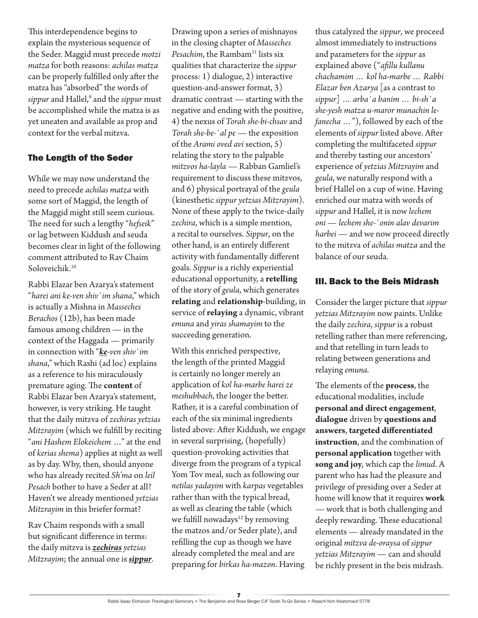This interdependence begins to explain the mysterious sequence of the Seder. Maggid must precede *motzi matza* for both reasons: *achilas matza* can be properly fulfilled only after the matza has "absorbed" the words of *sippur* and Hallel,9 and the *sippur* must be accomplished while the matza is as yet uneaten and available as prop and context for the verbal mitzva.

## The Length of the Seder

While we may now understand the need to precede *achilas matza* with some sort of Maggid, the length of the Maggid might still seem curious. The need for such a lengthy "*hefseik*" or lag between Kiddush and seuda becomes clear in light of the following comment attributed to Rav Chaim Soloveichik.10

Rabbi Elazar ben Azarya's statement "*harei ani ke-ven shiv`im shana*," which is actually a Mishna in *Masseches Berachos* (12b), has been made famous among children — in the context of the Haggada — primarily in connection with "*ke-ven shiv`im shana*," which Rashi (ad loc) explains as a reference to his miraculously premature aging. The **content** of Rabbi Elazar ben Azarya's statement, however, is very striking. He taught that the daily mitzva of *zechiras yetzias Mitzrayim* (which we fulfill by reciting "*ani Hashem Elokeichem* …" at the end of *kerias shema*) applies at night as well as by day. Why, then, should anyone who has already recited *Sh'ma* on *leil Pesach* bother to have a Seder at all? Haven't we already mentioned *yetzias Mitzrayim* in this briefer format?

Rav Chaim responds with a small but significant difference in terms: the daily mitzva is *zechiras yetzias Mitzrayim*; the annual one is *sippur*. Drawing upon a series of mishnayos in the closing chapter of *Masseches*  Pesachim, the Rambam<sup>11</sup> lists six qualities that characterize the *sippur* process: 1) dialogue, 2) interactive question-and-answer format, 3) dramatic contrast — starting with the negative and ending with the positive, 4) the nexus of *Torah she-bi-chsav* and *Torah she-be-`al pe* — the exposition of the *Arami oved avi* section, 5) relating the story to the palpable *mitzvos ha-layla* — Rabban Gamliel's requirement to discuss these mitzvos, and 6) physical portrayal of the *geula* (kinesthetic *sippur yetzias Mitzrayim*). None of these apply to the twice-daily *zechira*, which is a simple mention, a recital to ourselves. *Sippur*, on the other hand, is an entirely different activity with fundamentally different goals. *Sippur* is a richly experiential educational opportunity, a **retelling** of the story of *geula*, which generates **relating** and **relationship**-building, in service of **relaying** a dynamic, vibrant *emuna* and *yiras shamayim* to the succeeding generation.

With this enriched perspective, the length of the printed Maggid is certainly no longer merely an application of *kol ha-marbe harei ze meshubbach*, the longer the better. Rather, it is a careful combination of each of the six minimal ingredients listed above: After Kiddush, we engage in several surprising, (hopefully) question-provoking activities that diverge from the program of a typical Yom Tov meal, such as following our *netilas yadayim* with *karpas* vegetables rather than with the typical bread, as well as clearing the table (which we fulfill nowadays<sup>12</sup> by removing the matzos and/or Seder plate), and refilling the cup as though we have already completed the meal and are preparing for *birkas ha-mazon*. Having

thus catalyzed the *sippur*, we proceed almost immediately to instructions and parameters for the *sippur* as explained above ("*afillu kullanu chachamim … kol ha-marbe … Rabbi Elazar ben Azarya* [as a contrast to *sippur*] … *arba`a banim … bi-sh`a she-yesh matza u-maror munachin lefanecha …*"), followed by each of the elements of *sippur* listed above. After completing the multifaceted *sippur* and thereby tasting our ancestors' experience of *yetzias Mitzrayim* and *geula*, we naturally respond with a brief Hallel on a cup of wine. Having enriched our matza with words of *sippur* and Hallel, it is now *lechem oni — lechem she-`onin alav devarim harbei* — and we now proceed directly to the mitzva of *achilas matza* and the balance of our seuda.

# III. Back to the Beis Midrash

Consider the larger picture that *sippur yetzias Mitzrayim* now paints. Unlike the daily *zechira*, *sippur* is a robust retelling rather than mere referencing, and that retelling in turn leads to relating between generations and relaying *emuna.*

The elements of the **process**, the educational modalities, include **personal and direct engagement**, **dialogue** driven by **questions and answers**, **targeted differentiated instruction**, and the combination of **personal application** together with **song and joy***,* which cap the *limud*. A parent who has had the pleasure and privilege of presiding over a Seder at home will know that it requires **work** — work that is both challenging and deeply rewarding. These educational elements — already mandated in the original *mitzva de-oraysa* of *sippur yetzias Mitzrayim* — can and should be richly present in the beis midrash.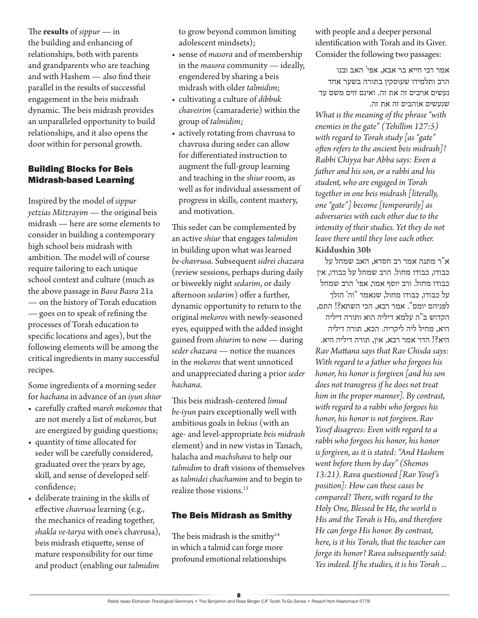The **results** of *sippur* — in the building and enhancing of relationships, both with parents and grandparents who are teaching and with Hashem — also find their parallel in the results of successful engagement in the beis midrash dynamic. The beis midrash provides an unparalleled opportunity to build relationships, and it also opens the door within for personal growth.

# Building Blocks for Beis Midrash-based Learning

Inspired by the model of *sippur yetzias Mitzrayim* — the original beis midrash — here are some elements to consider in building a contemporary high school beis midrash with ambition. The model will of course require tailoring to each unique school context and culture (much as the above passage in *Bava Basra* 21a — on the history of Torah education — goes on to speak of refining the processes of Torah education to specific locations and ages), but the following elements will be among the critical ingredients in many successful recipes.

Some ingredients of a morning seder for *hachana* in advance of an *iyun shiur*

- carefully crafted *mareh mekomos* that are not merely a list of *mekoros*, but are energized by guiding questions;
- quantity of time allocated for seder will be carefully considered, graduated over the years by age, skill, and sense of developed selfconfidence;
- deliberate training in the skills of effective *chavrusa* learning (e.g., the mechanics of reading together, *shakla ve-tarya* with one's chavrusa), beis midrash etiquette, sense of mature responsibility for our time and product (enabling our *talmidim*

to grow beyond common limiting adolescent mindsets);

- sense of *masora* and of membership in the *masora* community — ideally, engendered by sharing a beis midrash with older *talmidim*;
- cultivating a culture of *dibbuk chaveirim* (camaraderie) within the group of *talmidim;*
- actively rotating from chavrusa to chavrusa during seder can allow for differentiated instruction to augment the full-group learning and teaching in the *shiur* room, as well as for individual assessment of progress in skills, content mastery, and motivation.

This seder can be complemented by an active *shiur* that engages *talmidim*  in building upon what was learned *be-chavrusa*. Subsequent *sidrei chazara* (review sessions, perhaps during daily or biweekly night *sedarim*, or daily afternoon *sedarim*) offer a further, dynamic opportunity to return to the original *mekoros* with newly-seasoned eyes, equipped with the added insight gained from *shiurim* to now — during *seder chazara* — notice the nuances in the *mekoros* that went unnoticed and unappreciated during a prior *seder hachana*.

This beis midrash-centered *limud be-iyun* pairs exceptionally well with ambitious goals in *bekius* (with an age- and level-appropriate *beis midrash*  element) and in new vistas in Tanach, halacha and *machshava* to help our *talmidim* to draft visions of themselves as *talmidei chachamim* and to begin to realize those visions.<sup>13</sup>

# The Beis Midrash as Smithy

The beis midrash is the smithy<sup>14</sup> in which a talmid can forge more profound emotional relationships with people and a deeper personal identification with Torah and its Giver. Consider the following two passages:

אמר רבי חייא בר אבא, אפי' האב ובנו הרב ותלמידו שעוסקין בתורה בשער אחד נעשים אויבים זה את זה. ואינם זזים משם עד שנעשים אוהבים זה את זה.

*What is the meaning of the phrase "with enemies in the gate" (Tehillim 127:5) with regard to Torah study [as "gate" often refers to the ancient beis midrash]? Rabbi Chiyya bar Abba says: Even a father and his son, or a rabbi and his student, who are engaged in Torah together in one beis midrash [literally, one "gate"] become [temporarily] as adversaries with each other due to the intensity of their studies. Yet they do not leave there until they love each other.* **Kiddushin 30b**

א"ר מתנה אמר רב חסדא, האב שמחל על כבודו, כבודו מחול. הרב שמחל על כבודו, אין כבודו מחול. ורב יוסף אמר, אפי' הרב שמחל על כבודו, כבודו מחול, שנאמר "וה' הולך לפניהם יומם". אמר רבא, הכי השתא?! התם, הקדוש ב"ה עלמא דיליה הוא ותורה דיליה היא, מחיל ליה ליקריה. הכא, תורה דיליה היא?! הדר אמר רבא, אין, תורה דיליה היא. *Rav Mattana says that Rav Chisda says: With regard to a father who forgoes his honor, his honor is forgiven [and his son does not transgress if he does not treat him in the proper manner]. By contrast, with regard to a rabbi who forgoes his honor, his honor is not forgiven. Rav Yosef disagrees: Even with regard to a rabbi who forgoes his honor, his honor is forgiven, as it is stated: "And Hashem went before them by day" (Shemos 13:21). Rava questioned [Rav Yosef's position]: How can these cases be compared? There, with regard to the Holy One, Blessed be He, the world is His and the Torah is His, and therefore He can forgo His honor. By contrast, here, is it his Torah, that the teacher can forgo its honor? Rava subsequently said: Yes indeed. If he studies, it is his Torah ...*